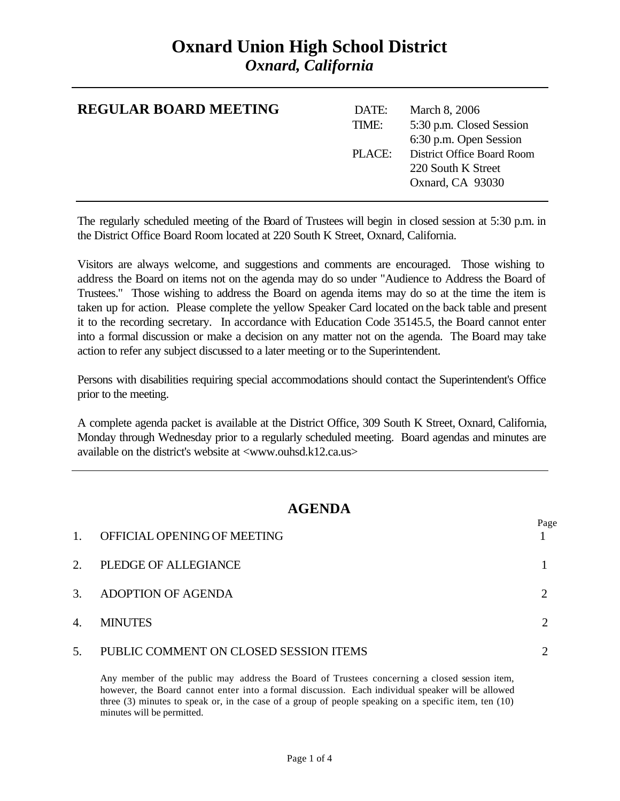### **Oxnard Union High School District** *Oxnard, California*

| <b>REGULAR BOARD MEETING</b> | DATE:<br>TIME: | March 8, 2006<br>5:30 p.m. Closed Session<br>6:30 p.m. Open Session         |
|------------------------------|----------------|-----------------------------------------------------------------------------|
|                              | PLACE:         | <b>District Office Board Room</b><br>220 South K Street<br>Oxnard, CA 93030 |

The regularly scheduled meeting of the Board of Trustees will begin in closed session at 5:30 p.m. in the District Office Board Room located at 220 South K Street, Oxnard, California.

Visitors are always welcome, and suggestions and comments are encouraged. Those wishing to address the Board on items not on the agenda may do so under "Audience to Address the Board of Trustees." Those wishing to address the Board on agenda items may do so at the time the item is taken up for action. Please complete the yellow Speaker Card located on the back table and present it to the recording secretary. In accordance with Education Code 35145.5, the Board cannot enter into a formal discussion or make a decision on any matter not on the agenda. The Board may take action to refer any subject discussed to a later meeting or to the Superintendent.

Persons with disabilities requiring special accommodations should contact the Superintendent's Office prior to the meeting.

A complete agenda packet is available at the District Office, 309 South K Street, Oxnard, California, Monday through Wednesday prior to a regularly scheduled meeting. Board agendas and minutes are available on the district's website at <www.ouhsd.k12.ca.us>

### **AGENDA**

 $D_{0}$ go

| $\mathbf{1}$ .   | OFFICIAL OPENING OF MEETING            | 1 agu |
|------------------|----------------------------------------|-------|
| 2.               | PLEDGE OF ALLEGIANCE                   |       |
| $\mathfrak{Z}$ . | ADOPTION OF AGENDA                     |       |
| 4.               | <b>MINUTES</b>                         |       |
| 5.               | PUBLIC COMMENT ON CLOSED SESSION ITEMS |       |

Any member of the public may address the Board of Trustees concerning a closed session item, however, the Board cannot enter into a formal discussion. Each individual speaker will be allowed three (3) minutes to speak or, in the case of a group of people speaking on a specific item, ten (10) minutes will be permitted.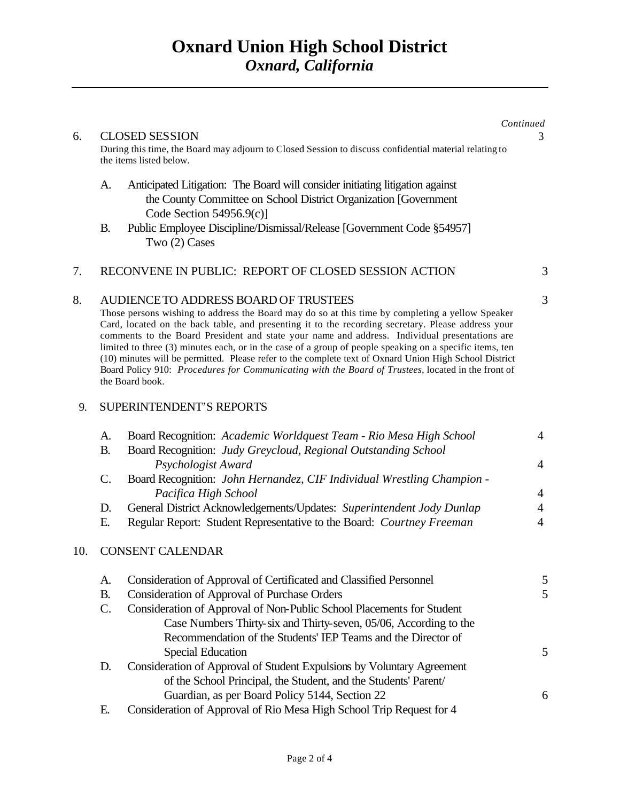|                                       |                       |                                                                                                                                                                                                                                                                                                                                                                                                                                                                                                                                                                                                                                                                                                 | Continued                        |
|---------------------------------------|-----------------------|-------------------------------------------------------------------------------------------------------------------------------------------------------------------------------------------------------------------------------------------------------------------------------------------------------------------------------------------------------------------------------------------------------------------------------------------------------------------------------------------------------------------------------------------------------------------------------------------------------------------------------------------------------------------------------------------------|----------------------------------|
| 6.                                    |                       | <b>CLOSED SESSION</b><br>During this time, the Board may adjourn to Closed Session to discuss confidential material relating to<br>the items listed below.                                                                                                                                                                                                                                                                                                                                                                                                                                                                                                                                      | 3                                |
|                                       | A.                    | Anticipated Litigation: The Board will consider initiating litigation against<br>the County Committee on School District Organization [Government<br>Code Section $54956.9(c)$ ]                                                                                                                                                                                                                                                                                                                                                                                                                                                                                                                |                                  |
|                                       | <b>B.</b>             | Public Employee Discipline/Dismissal/Release [Government Code §54957]<br>Two (2) Cases                                                                                                                                                                                                                                                                                                                                                                                                                                                                                                                                                                                                          |                                  |
| 7.                                    |                       | RECONVENE IN PUBLIC: REPORT OF CLOSED SESSION ACTION                                                                                                                                                                                                                                                                                                                                                                                                                                                                                                                                                                                                                                            | 3                                |
| 8.                                    |                       | AUDIENCE TO ADDRESS BOARD OF TRUSTEES<br>Those persons wishing to address the Board may do so at this time by completing a yellow Speaker<br>Card, located on the back table, and presenting it to the recording secretary. Please address your<br>comments to the Board President and state your name and address. Individual presentations are<br>limited to three (3) minutes each, or in the case of a group of people speaking on a specific items, ten<br>(10) minutes will be permitted. Please refer to the complete text of Oxnard Union High School District<br>Board Policy 910: Procedures for Communicating with the Board of Trustees, located in the front of<br>the Board book. | 3                                |
| <b>SUPERINTENDENT'S REPORTS</b><br>9. |                       |                                                                                                                                                                                                                                                                                                                                                                                                                                                                                                                                                                                                                                                                                                 |                                  |
|                                       | A.<br><b>B.</b>       | Board Recognition: Academic Worldquest Team - Rio Mesa High School<br>Board Recognition: Judy Greycloud, Regional Outstanding School<br>Psychologist Award                                                                                                                                                                                                                                                                                                                                                                                                                                                                                                                                      | $\overline{4}$<br>$\overline{4}$ |
|                                       | $\mathcal{C}$ .       | Board Recognition: John Hernandez, CIF Individual Wrestling Champion -<br>Pacifica High School                                                                                                                                                                                                                                                                                                                                                                                                                                                                                                                                                                                                  | $\overline{4}$                   |
|                                       | D.<br>Ε.              | General District Acknowledgements/Updates: Superintendent Jody Dunlap<br>Regular Report: Student Representative to the Board: Courtney Freeman                                                                                                                                                                                                                                                                                                                                                                                                                                                                                                                                                  | $\overline{4}$<br>$\overline{4}$ |
| 10.                                   |                       | <b>CONSENT CALENDAR</b>                                                                                                                                                                                                                                                                                                                                                                                                                                                                                                                                                                                                                                                                         |                                  |
|                                       | A.<br><b>B.</b><br>C. | Consideration of Approval of Certificated and Classified Personnel<br><b>Consideration of Approval of Purchase Orders</b><br>Consideration of Approval of Non-Public School Placements for Student<br>Case Numbers Thirty-six and Thirty-seven, 05/06, According to the<br>Recommendation of the Students' IEP Teams and the Director of<br><b>Special Education</b>                                                                                                                                                                                                                                                                                                                            | 5<br>5                           |
|                                       | D.                    | Consideration of Approval of Student Expulsions by Voluntary Agreement<br>of the School Principal, the Student, and the Students' Parent/<br>Guardian, as per Board Policy 5144, Section 22                                                                                                                                                                                                                                                                                                                                                                                                                                                                                                     | 5<br>6                           |
|                                       |                       |                                                                                                                                                                                                                                                                                                                                                                                                                                                                                                                                                                                                                                                                                                 |                                  |

E. Consideration of Approval of Rio Mesa High School Trip Request for 4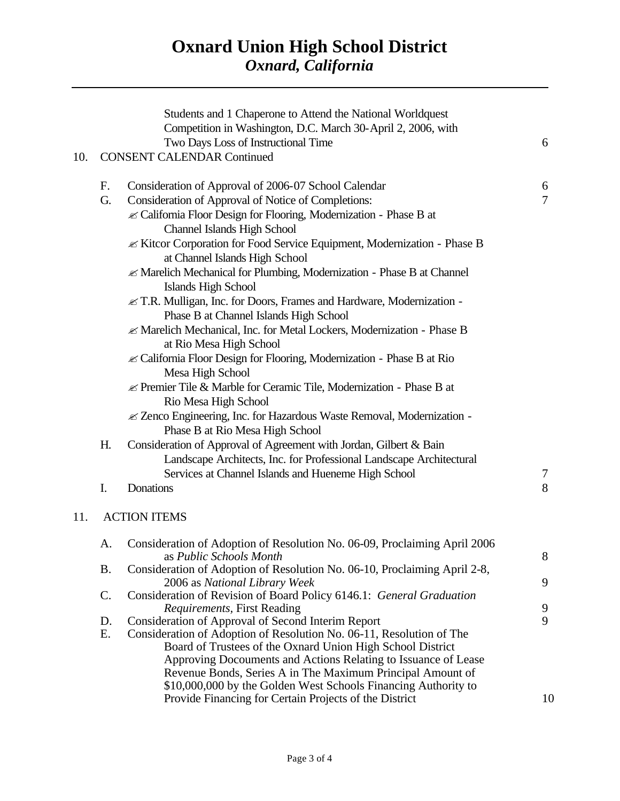# **Oxnard Union High School District** *Oxnard, California*

|     |    | Students and 1 Chaperone to Attend the National Worldquest<br>Competition in Washington, D.C. March 30-April 2, 2006, with   |                |
|-----|----|------------------------------------------------------------------------------------------------------------------------------|----------------|
|     |    | Two Days Loss of Instructional Time                                                                                          | 6              |
| 10. |    | <b>CONSENT CALENDAR Continued</b>                                                                                            |                |
|     | F. | Consideration of Approval of 2006-07 School Calendar                                                                         | 6              |
|     | G. | Consideration of Approval of Notice of Completions:                                                                          | $\overline{7}$ |
|     |    | ≤ California Floor Design for Flooring, Modernization - Phase B at<br><b>Channel Islands High School</b>                     |                |
|     |    | ≤ Kitcor Corporation for Food Service Equipment, Modernization - Phase B<br>at Channel Islands High School                   |                |
|     |    | ≤ Marelich Mechanical for Plumbing, Modernization - Phase B at Channel                                                       |                |
|     |    | Islands High School                                                                                                          |                |
|     |    | ≤ T.R. Mulligan, Inc. for Doors, Frames and Hardware, Modernization -<br>Phase B at Channel Islands High School              |                |
|     |    | ≤ Marelich Mechanical, Inc. for Metal Lockers, Modernization - Phase B                                                       |                |
|     |    | at Rio Mesa High School                                                                                                      |                |
|     |    | ≤ California Floor Design for Flooring, Modernization - Phase B at Rio<br>Mesa High School                                   |                |
|     |    | $\mathcal{L}$ Premier Tile & Marble for Ceramic Tile, Modernization - Phase B at<br>Rio Mesa High School                     |                |
|     |    | ≤ Zenco Engineering, Inc. for Hazardous Waste Removal, Modernization -                                                       |                |
|     |    | Phase B at Rio Mesa High School                                                                                              |                |
|     | H. | Consideration of Approval of Agreement with Jordan, Gilbert & Bain                                                           |                |
|     |    | Landscape Architects, Inc. for Professional Landscape Architectural                                                          |                |
|     |    | Services at Channel Islands and Hueneme High School                                                                          | $\tau$         |
|     | I. | Donations                                                                                                                    | 8              |
| 11. |    | <b>ACTION ITEMS</b>                                                                                                          |                |
|     | A. | Consideration of Adoption of Resolution No. 06-09, Proclaiming April 2006                                                    | 8              |
|     | B. | as Public Schools Month<br>Consideration of Adoption of Resolution No. 06-10, Proclaiming April 2-8,                         |                |
|     |    | 2006 as National Library Week                                                                                                | 9              |
|     | C. | Consideration of Revision of Board Policy 6146.1: General Graduation<br><i>Requirements, First Reading</i>                   | 9              |
|     | D. | <b>Consideration of Approval of Second Interim Report</b>                                                                    | 9              |
|     | Ε. | Consideration of Adoption of Resolution No. 06-11, Resolution of The                                                         |                |
|     |    | Board of Trustees of the Oxnard Union High School District<br>Approving Docouments and Actions Relating to Issuance of Lease |                |
|     |    | Revenue Bonds, Series A in The Maximum Principal Amount of                                                                   |                |
|     |    | \$10,000,000 by the Golden West Schools Financing Authority to                                                               |                |
|     |    | Provide Financing for Certain Projects of the District                                                                       | 10             |